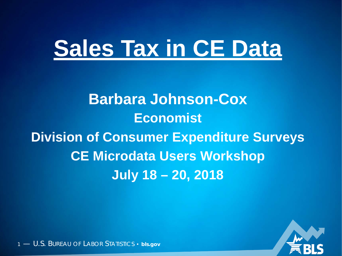# **Sales Tax in CE Data**

**Barbara Johnson-Cox Economist Division of Consumer Expenditure Surveys CE Microdata Users Workshop July 18 – 20, 2018**

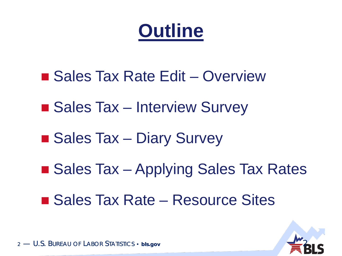### **Outline**

- Sales Tax Rate Edit Overview
- Sales Tax Interview Survey
- Sales Tax Diary Survey
- Sales Tax Applying Sales Tax Rates
- Sales Tax Rate Resource Sites

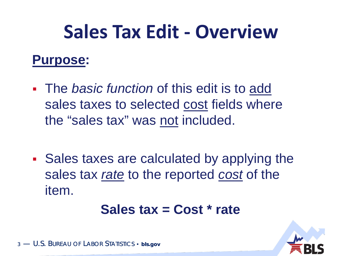#### **Sales Tax Edit - Overview**

#### **Purpose:**

- The *basic function* of this edit is to add sales taxes to selected cost fields where the "sales tax" was not included.
- Sales taxes are calculated by applying the sales tax *rate* to the reported *cost* of the item.

#### **Sales tax = Cost \* rate**

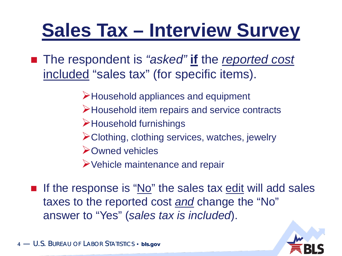## **Sales Tax – Interview Survey**

■ The respondent is "asked" **if** the reported cost included "sales tax" (for specific items).

- Household appliances and equipment
- Household item repairs and service contracts
- Household furnishings
- Clothing, clothing services, watches, jewelry
- Owned vehicles
- Vehicle maintenance and repair
- If the response is "No" the sales tax edit will add sales taxes to the reported cost *and* change the "No" answer to "Yes" (*sales tax is included*).

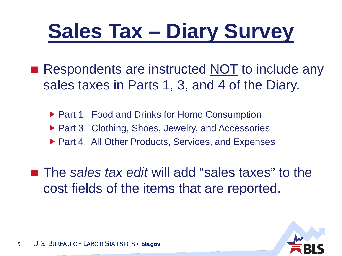## **Sales Tax – Diary Survey**

- Respondents are instructed NOT to include any sales taxes in Parts 1, 3, and 4 of the Diary.
	- ▶ Part 1. Food and Drinks for Home Consumption
	- ▶ Part 3. Clothing, Shoes, Jewelry, and Accessories
	- ▶ Part 4. All Other Products, Services, and Expenses

■ The *sales tax edit* will add "sales taxes" to the cost fields of the items that are reported.

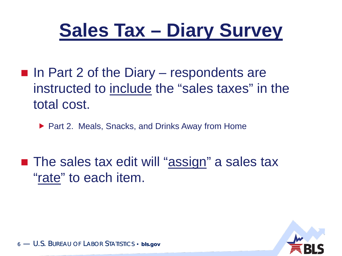### **Sales Tax – Diary Survey**

- $\blacksquare$  In Part 2 of the Diary respondents are instructed to include the "sales taxes" in the total cost.
	- ▶ Part 2. Meals, Snacks, and Drinks Away from Home

■ The sales tax edit will "assign" a sales tax "rate" to each item.

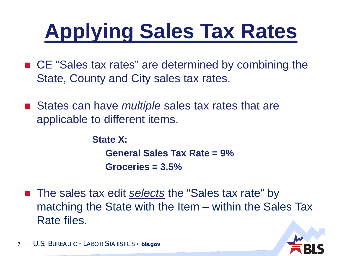# **Applying Sales Tax Rates**

- CE "Sales tax rates" are determined by combining the State, County and City sales tax rates.
- States can have *multiple* sales tax rates that are applicable to different items.

**State X: General Sales Tax Rate = 9% Groceries = 3.5%**

■ The sales tax edit *selects* the "Sales tax rate" by matching the State with the Item – within the Sales Tax Rate files.

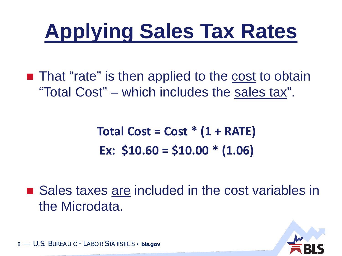## **Applying Sales Tax Rates**

■ That "rate" is then applied to the cost to obtain "Total Cost" – which includes the sales tax".

> **Total Cost = Cost \* (1 + RATE) Ex: \$10.60 = \$10.00 \* (1.06)**

■ Sales taxes are included in the cost variables in the Microdata.

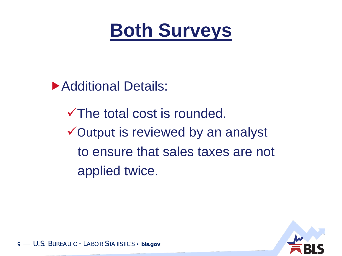

**Additional Details:** 

The total cost is rounded. Output is reviewed by an analyst to ensure that sales taxes are not applied twice.

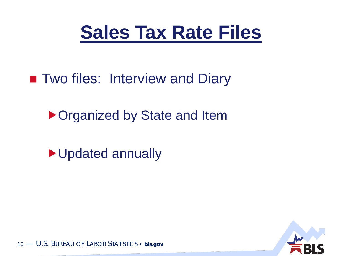

**Two files: Interview and Diary** 

▶ Organized by State and Item

Updated annually

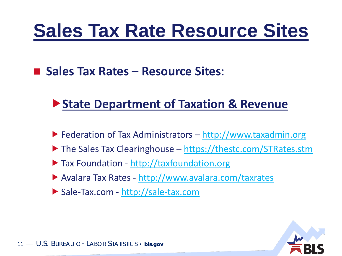#### **Sales Tax Rate Resource Sites**

■ Sales Tax Rates – **Resource Sites:** 

#### **State Department of Taxation & Revenue**

- $\blacktriangleright$  Federation of Tax Administrators [http://www.taxadmin.org](http://www.taxadmin.org/fta/link/)
- $\blacktriangleright$  The Sales Tax Clearinghouse <https://thestc.com/STRates.stm>
- ▶ Tax Foundation [http://taxfoundation.org](http://taxfoundation.org/)
- Avalara Tax Rates <http://www.avalara.com/taxrates>
- Sale-Tax.com [http://sale-tax.com](http://sale-tax.com/)